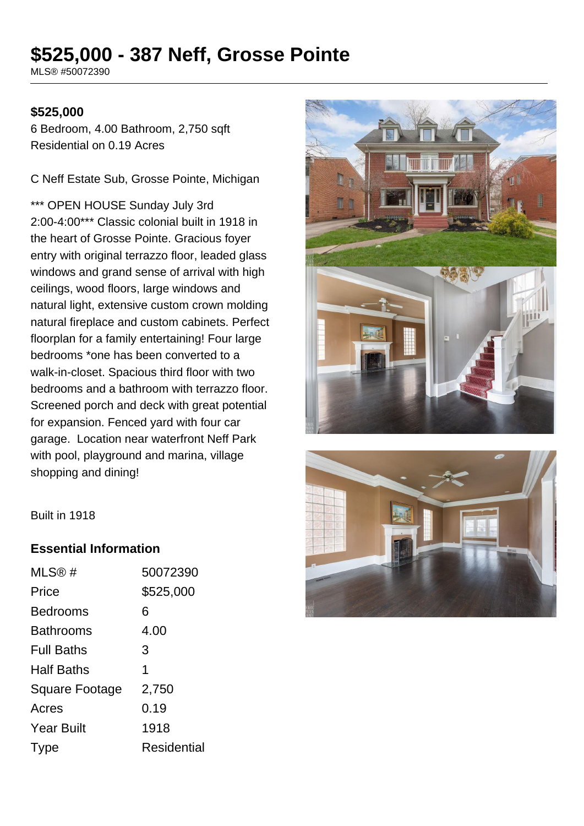# **\$525,000 - 387 Neff, Grosse Pointe**

MLS® #50072390

#### **\$525,000**

6 Bedroom, 4.00 Bathroom, 2,750 sqft Residential on 0.19 Acres

C Neff Estate Sub, Grosse Pointe, Michigan

\*\*\* OPEN HOUSE Sunday July 3rd 2:00-4:00\*\*\* Classic colonial built in 1918 in the heart of Grosse Pointe. Gracious foyer entry with original terrazzo floor, leaded glass windows and grand sense of arrival with high ceilings, wood floors, large windows and natural light, extensive custom crown molding natural fireplace and custom cabinets. Perfect floorplan for a family entertaining! Four large bedrooms \*one has been converted to a walk-in-closet. Spacious third floor with two bedrooms and a bathroom with terrazzo floor. Screened porch and deck with great potential for expansion. Fenced yard with four car garage. Location near waterfront Neff Park with pool, playground and marina, village shopping and dining!





Built in 1918

#### **Essential Information**

| MLS@#             | 50072390    |
|-------------------|-------------|
| Price             | \$525,000   |
| <b>Bedrooms</b>   | 6           |
| Bathrooms         | 4.00        |
| <b>Full Baths</b> | 3           |
| <b>Half Baths</b> | 1           |
| Square Footage    | 2,750       |
| Acres             | 0.19        |
| <b>Year Built</b> | 1918        |
| Type              | Residential |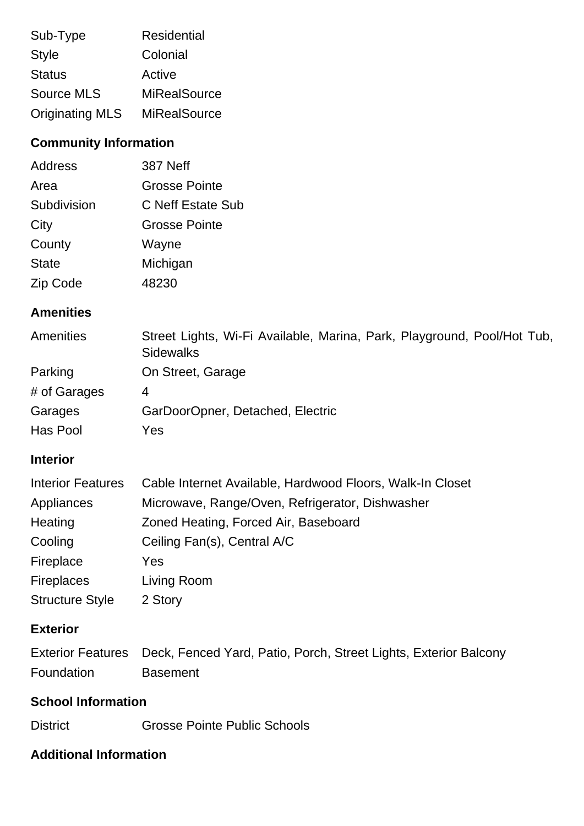| Sub-Type               | <b>Residential</b>  |
|------------------------|---------------------|
| <b>Style</b>           | Colonial            |
| <b>Status</b>          | Active              |
| Source MLS             | <b>MiRealSource</b> |
| <b>Originating MLS</b> | <b>MiRealSource</b> |

# **Community Information**

| Address      | <b>387 Neff</b>          |
|--------------|--------------------------|
| Area         | <b>Grosse Pointe</b>     |
| Subdivision  | <b>C Neff Estate Sub</b> |
| City         | <b>Grosse Pointe</b>     |
| County       | Wayne                    |
| <b>State</b> | Michigan                 |
| Zip Code     | 48230                    |

# **Amenities**

| Amenities    | Street Lights, Wi-Fi Available, Marina, Park, Playground, Pool/Hot Tub,<br><b>Sidewalks</b> |
|--------------|---------------------------------------------------------------------------------------------|
| Parking      | On Street, Garage                                                                           |
| # of Garages | 4                                                                                           |
| Garages      | GarDoorOpner, Detached, Electric                                                            |
| Has Pool     | Yes                                                                                         |

#### **Interior**

| <b>Interior Features</b> | Cable Internet Available, Hardwood Floors, Walk-In Closet |
|--------------------------|-----------------------------------------------------------|
| Appliances               | Microwave, Range/Oven, Refrigerator, Dishwasher           |
| Heating                  | Zoned Heating, Forced Air, Baseboard                      |
| Cooling                  | Ceiling Fan(s), Central A/C                               |
| Fireplace                | Yes                                                       |
| <b>Fireplaces</b>        | Living Room                                               |
| <b>Structure Style</b>   | 2 Story                                                   |

### **Exterior**

|            | Exterior Features Deck, Fenced Yard, Patio, Porch, Street Lights, Exterior Balcony |
|------------|------------------------------------------------------------------------------------|
| Foundation | <b>Basement</b>                                                                    |

## **School Information**

District Grosse Pointe Public Schools

# **Additional Information**